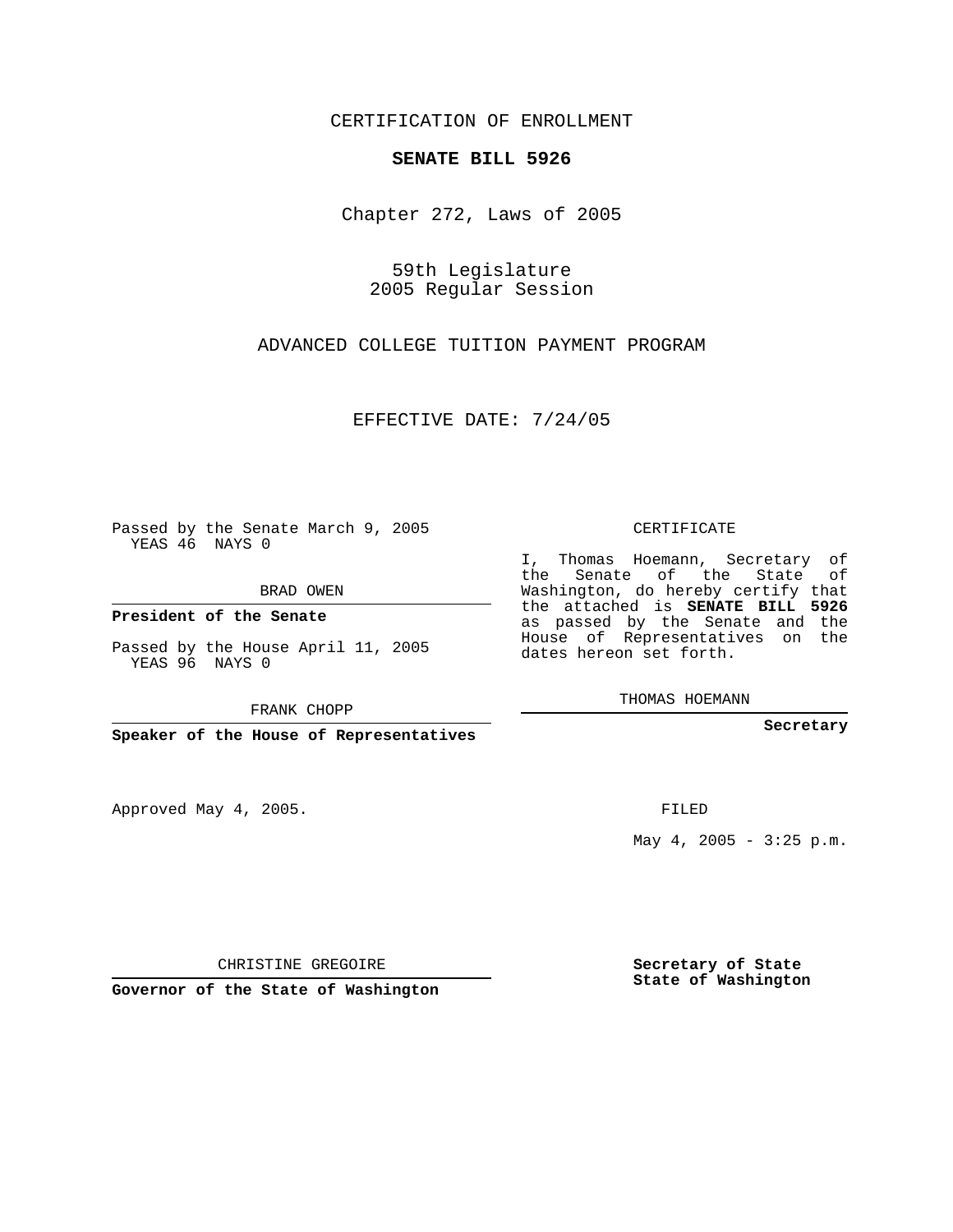CERTIFICATION OF ENROLLMENT

## **SENATE BILL 5926**

Chapter 272, Laws of 2005

59th Legislature 2005 Regular Session

ADVANCED COLLEGE TUITION PAYMENT PROGRAM

EFFECTIVE DATE: 7/24/05

Passed by the Senate March 9, 2005 YEAS 46 NAYS 0

BRAD OWEN

**President of the Senate**

Passed by the House April 11, 2005 YEAS 96 NAYS 0

FRANK CHOPP

**Speaker of the House of Representatives**

Approved May 4, 2005.

CERTIFICATE

I, Thomas Hoemann, Secretary of the Senate of the State of Washington, do hereby certify that the attached is **SENATE BILL 5926** as passed by the Senate and the House of Representatives on the dates hereon set forth.

THOMAS HOEMANN

**Secretary**

FILED

May  $4$ , 2005 - 3:25 p.m.

CHRISTINE GREGOIRE

**Governor of the State of Washington**

**Secretary of State State of Washington**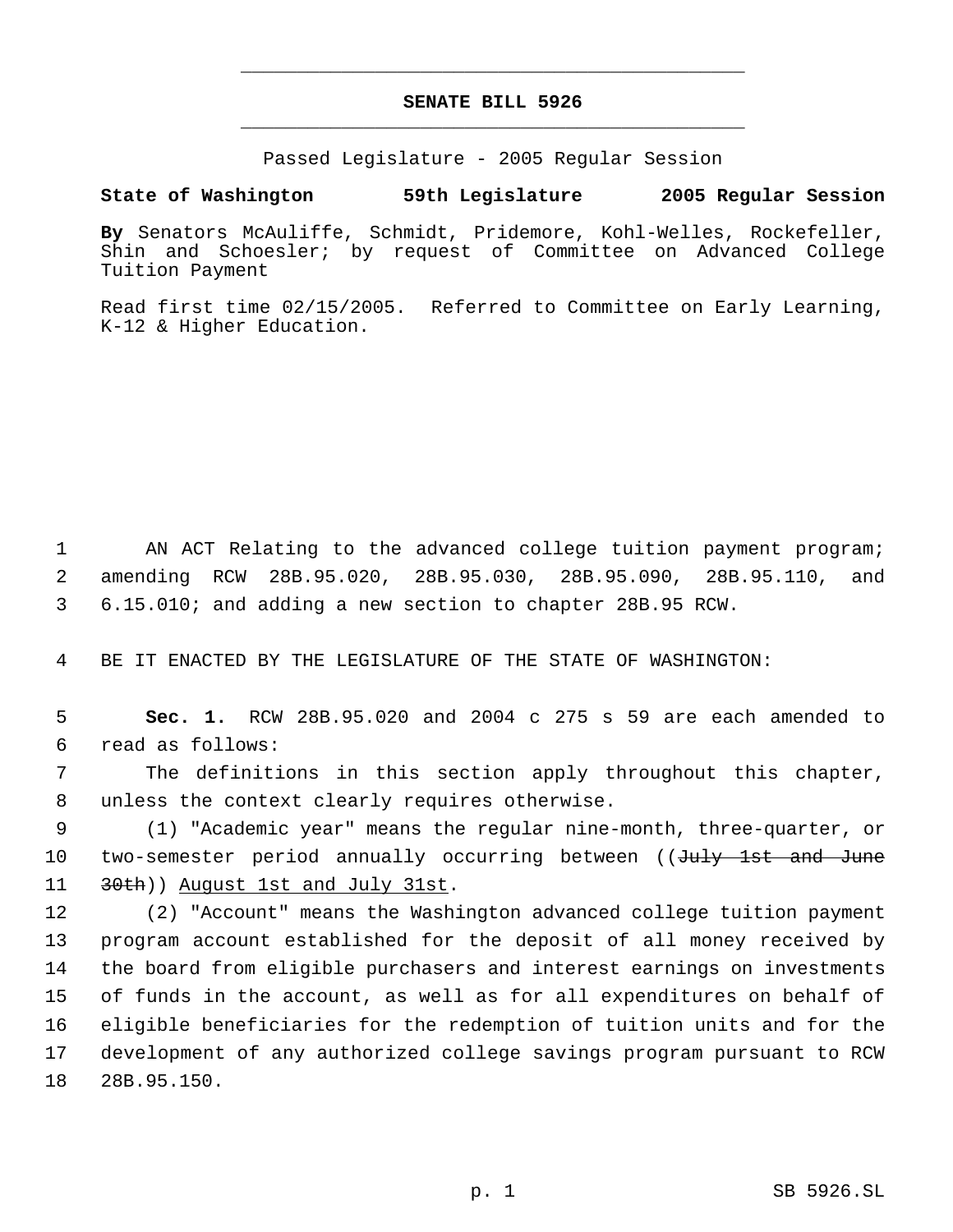## **SENATE BILL 5926** \_\_\_\_\_\_\_\_\_\_\_\_\_\_\_\_\_\_\_\_\_\_\_\_\_\_\_\_\_\_\_\_\_\_\_\_\_\_\_\_\_\_\_\_\_

\_\_\_\_\_\_\_\_\_\_\_\_\_\_\_\_\_\_\_\_\_\_\_\_\_\_\_\_\_\_\_\_\_\_\_\_\_\_\_\_\_\_\_\_\_

Passed Legislature - 2005 Regular Session

**State of Washington 59th Legislature 2005 Regular Session**

**By** Senators McAuliffe, Schmidt, Pridemore, Kohl-Welles, Rockefeller, Shin and Schoesler; by request of Committee on Advanced College Tuition Payment

Read first time 02/15/2005. Referred to Committee on Early Learning, K-12 & Higher Education.

 1 AN ACT Relating to the advanced college tuition payment program; 2 amending RCW 28B.95.020, 28B.95.030, 28B.95.090, 28B.95.110, and 3 6.15.010; and adding a new section to chapter 28B.95 RCW.

4 BE IT ENACTED BY THE LEGISLATURE OF THE STATE OF WASHINGTON:

 5 **Sec. 1.** RCW 28B.95.020 and 2004 c 275 s 59 are each amended to 6 read as follows:

 7 The definitions in this section apply throughout this chapter, 8 unless the context clearly requires otherwise.

 9 (1) "Academic year" means the regular nine-month, three-quarter, or 10 two-semester period annually occurring between ((July 1st and June 11 30th)) August 1st and July 31st.

 (2) "Account" means the Washington advanced college tuition payment program account established for the deposit of all money received by the board from eligible purchasers and interest earnings on investments of funds in the account, as well as for all expenditures on behalf of eligible beneficiaries for the redemption of tuition units and for the development of any authorized college savings program pursuant to RCW 28B.95.150.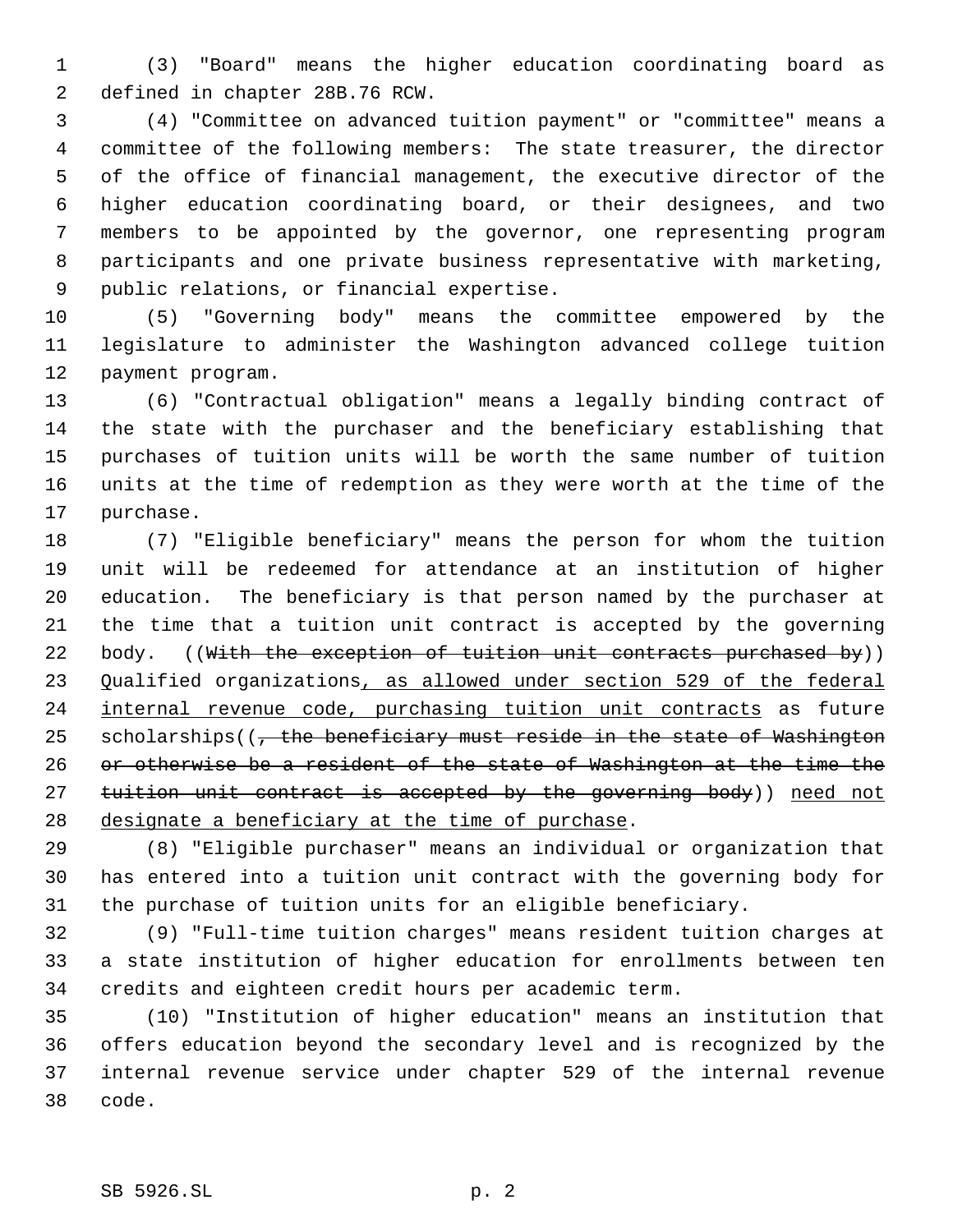(3) "Board" means the higher education coordinating board as defined in chapter 28B.76 RCW.

 (4) "Committee on advanced tuition payment" or "committee" means a committee of the following members: The state treasurer, the director of the office of financial management, the executive director of the higher education coordinating board, or their designees, and two members to be appointed by the governor, one representing program participants and one private business representative with marketing, public relations, or financial expertise.

 (5) "Governing body" means the committee empowered by the legislature to administer the Washington advanced college tuition payment program.

 (6) "Contractual obligation" means a legally binding contract of the state with the purchaser and the beneficiary establishing that purchases of tuition units will be worth the same number of tuition units at the time of redemption as they were worth at the time of the purchase.

 (7) "Eligible beneficiary" means the person for whom the tuition unit will be redeemed for attendance at an institution of higher education. The beneficiary is that person named by the purchaser at the time that a tuition unit contract is accepted by the governing 22 body. ((With the exception of tuition unit contracts purchased by)) 23 Qualified organizations, as allowed under section 529 of the federal 24 internal revenue code, purchasing tuition unit contracts as future 25 scholarships((<del>, the beneficiary must reside in the state of Washington</del> or otherwise be a resident of the state of Washington at the time the 27 tuition unit contract is accepted by the governing body)) need not designate a beneficiary at the time of purchase.

 (8) "Eligible purchaser" means an individual or organization that has entered into a tuition unit contract with the governing body for the purchase of tuition units for an eligible beneficiary.

 (9) "Full-time tuition charges" means resident tuition charges at a state institution of higher education for enrollments between ten credits and eighteen credit hours per academic term.

 (10) "Institution of higher education" means an institution that offers education beyond the secondary level and is recognized by the internal revenue service under chapter 529 of the internal revenue code.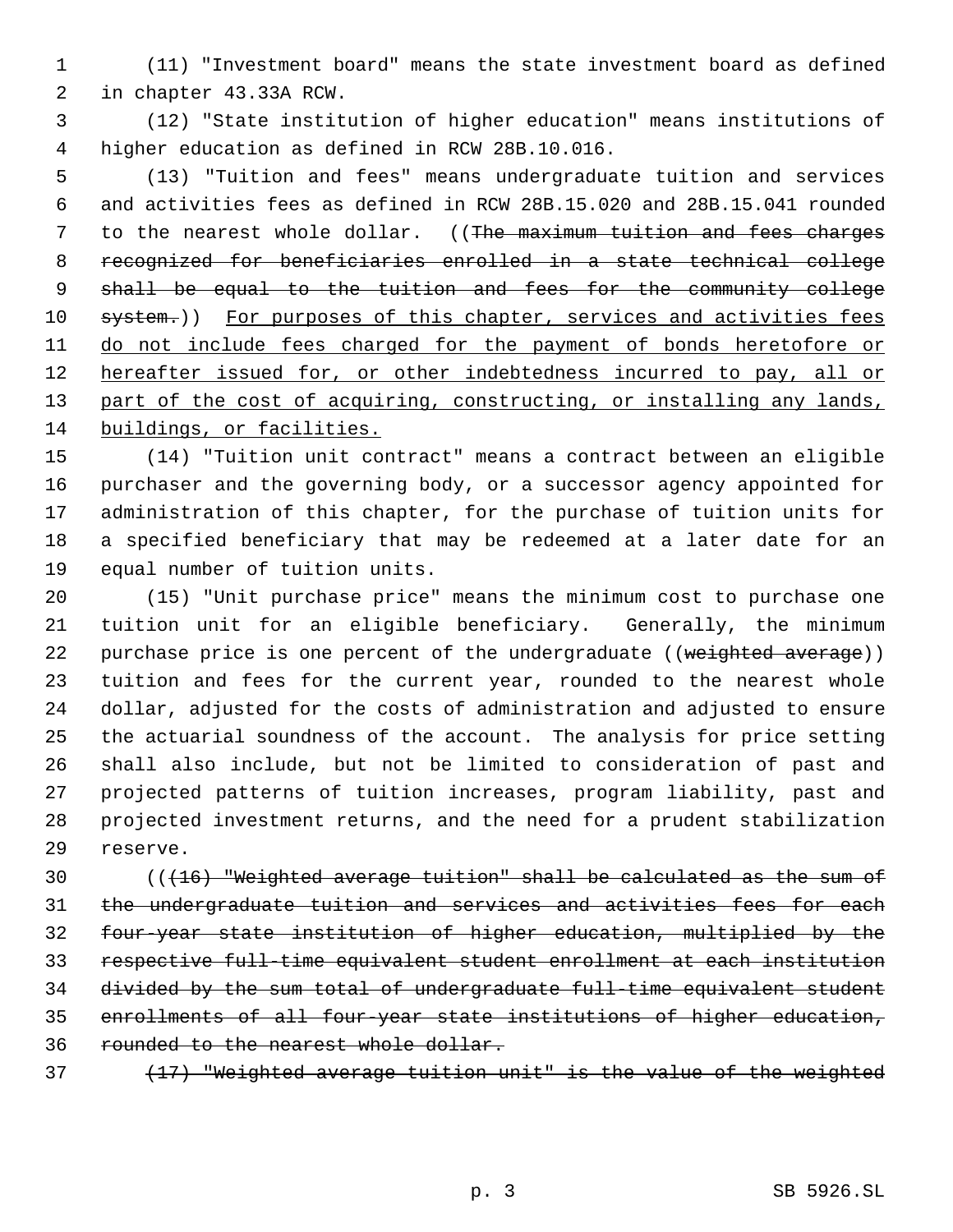(11) "Investment board" means the state investment board as defined in chapter 43.33A RCW.

 (12) "State institution of higher education" means institutions of higher education as defined in RCW 28B.10.016.

 (13) "Tuition and fees" means undergraduate tuition and services and activities fees as defined in RCW 28B.15.020 and 28B.15.041 rounded 7 to the nearest whole dollar. ((The maximum tuition and fees charges recognized for beneficiaries enrolled in a state technical college 9 shall be equal to the tuition and fees for the community college 10 system.)) For purposes of this chapter, services and activities fees 11 do not include fees charged for the payment of bonds heretofore or 12 hereafter issued for, or other indebtedness incurred to pay, all or 13 part of the cost of acquiring, constructing, or installing any lands, buildings, or facilities.

 (14) "Tuition unit contract" means a contract between an eligible purchaser and the governing body, or a successor agency appointed for administration of this chapter, for the purchase of tuition units for a specified beneficiary that may be redeemed at a later date for an equal number of tuition units.

 (15) "Unit purchase price" means the minimum cost to purchase one tuition unit for an eligible beneficiary. Generally, the minimum 22 purchase price is one percent of the undergraduate ((weighted average)) tuition and fees for the current year, rounded to the nearest whole dollar, adjusted for the costs of administration and adjusted to ensure the actuarial soundness of the account. The analysis for price setting shall also include, but not be limited to consideration of past and projected patterns of tuition increases, program liability, past and projected investment returns, and the need for a prudent stabilization reserve.

 $($   $($   $($   $+16)$  "Weighted average tuition" shall be calculated as the sum of 31 the undergraduate tuition and services and activities fees for each four-year state institution of higher education, multiplied by the respective full-time equivalent student enrollment at each institution divided by the sum total of undergraduate full-time equivalent student enrollments of all four-year state institutions of higher education, rounded to the nearest whole dollar.

(17) "Weighted average tuition unit" is the value of the weighted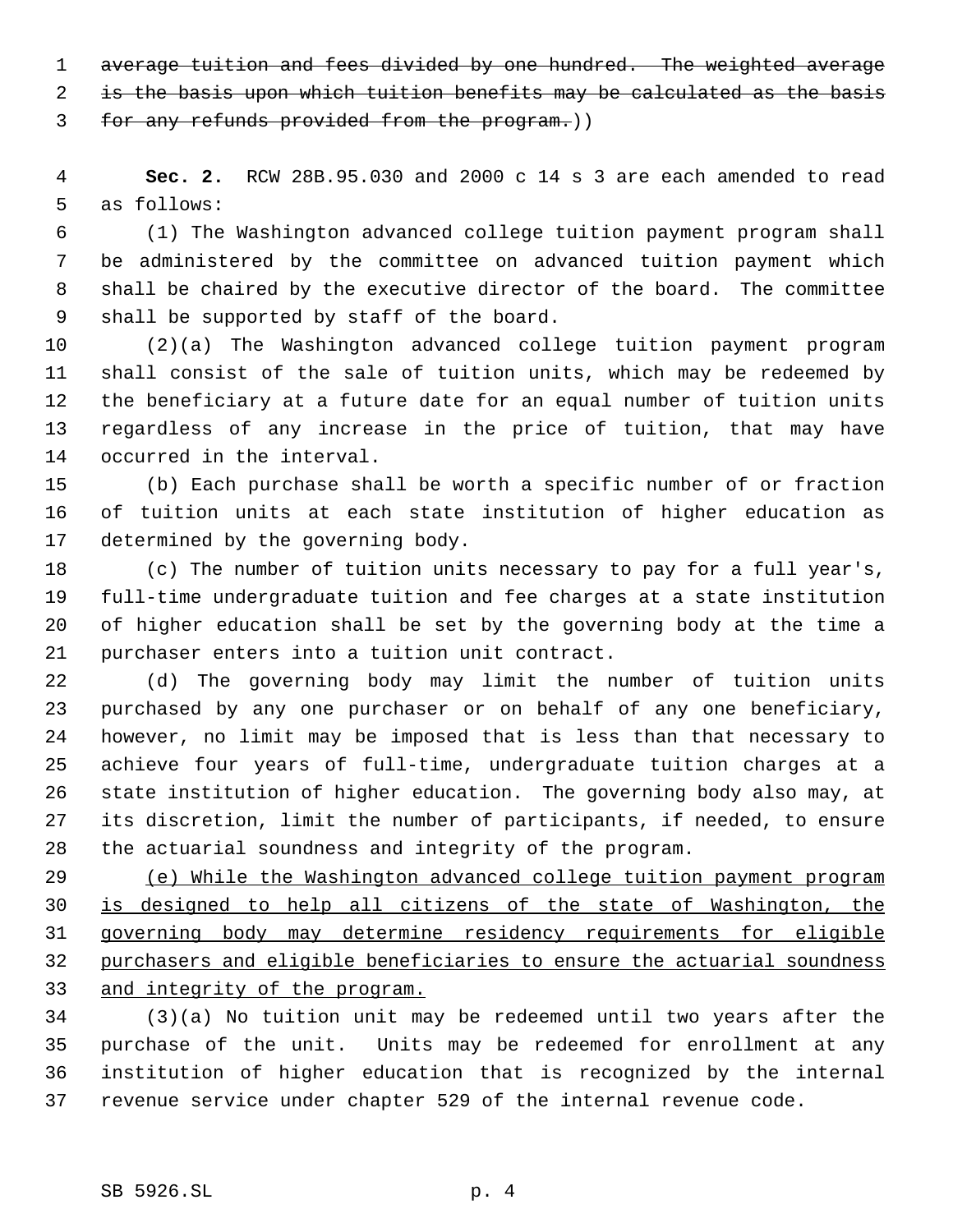average tuition and fees divided by one hundred. The weighted average

is the basis upon which tuition benefits may be calculated as the basis

for any refunds provided from the program.))

 **Sec. 2.** RCW 28B.95.030 and 2000 c 14 s 3 are each amended to read as follows:

 (1) The Washington advanced college tuition payment program shall be administered by the committee on advanced tuition payment which shall be chaired by the executive director of the board. The committee shall be supported by staff of the board.

 (2)(a) The Washington advanced college tuition payment program shall consist of the sale of tuition units, which may be redeemed by the beneficiary at a future date for an equal number of tuition units regardless of any increase in the price of tuition, that may have occurred in the interval.

 (b) Each purchase shall be worth a specific number of or fraction of tuition units at each state institution of higher education as determined by the governing body.

 (c) The number of tuition units necessary to pay for a full year's, full-time undergraduate tuition and fee charges at a state institution of higher education shall be set by the governing body at the time a purchaser enters into a tuition unit contract.

 (d) The governing body may limit the number of tuition units purchased by any one purchaser or on behalf of any one beneficiary, however, no limit may be imposed that is less than that necessary to achieve four years of full-time, undergraduate tuition charges at a state institution of higher education. The governing body also may, at its discretion, limit the number of participants, if needed, to ensure the actuarial soundness and integrity of the program.

 (e) While the Washington advanced college tuition payment program is designed to help all citizens of the state of Washington, the governing body may determine residency requirements for eligible purchasers and eligible beneficiaries to ensure the actuarial soundness 33 and integrity of the program.

 (3)(a) No tuition unit may be redeemed until two years after the purchase of the unit. Units may be redeemed for enrollment at any institution of higher education that is recognized by the internal revenue service under chapter 529 of the internal revenue code.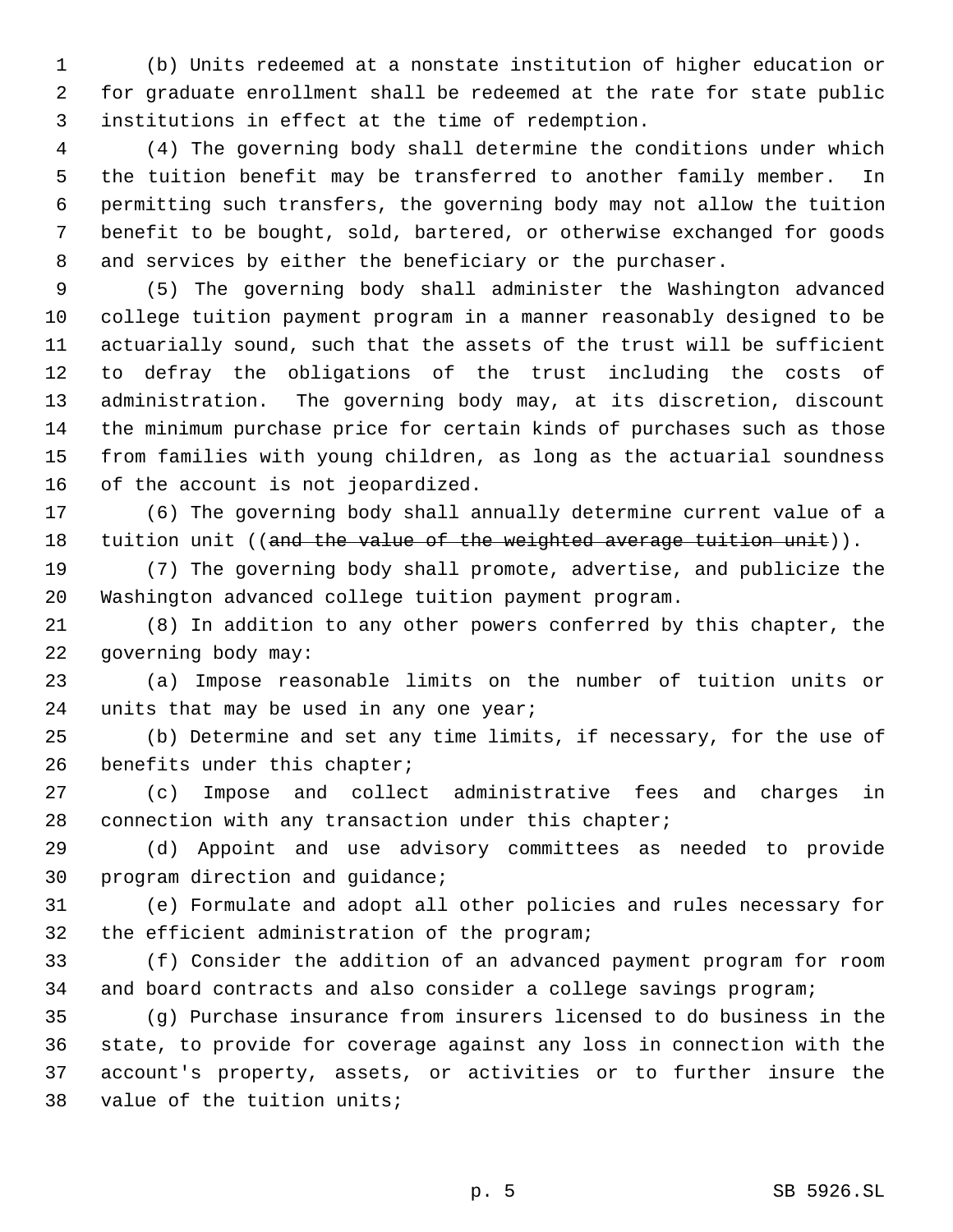(b) Units redeemed at a nonstate institution of higher education or for graduate enrollment shall be redeemed at the rate for state public institutions in effect at the time of redemption.

 (4) The governing body shall determine the conditions under which the tuition benefit may be transferred to another family member. In permitting such transfers, the governing body may not allow the tuition benefit to be bought, sold, bartered, or otherwise exchanged for goods and services by either the beneficiary or the purchaser.

 (5) The governing body shall administer the Washington advanced college tuition payment program in a manner reasonably designed to be actuarially sound, such that the assets of the trust will be sufficient to defray the obligations of the trust including the costs of administration. The governing body may, at its discretion, discount the minimum purchase price for certain kinds of purchases such as those from families with young children, as long as the actuarial soundness of the account is not jeopardized.

 (6) The governing body shall annually determine current value of a 18 tuition unit ((and the value of the weighted average tuition unit)).

 (7) The governing body shall promote, advertise, and publicize the Washington advanced college tuition payment program.

 (8) In addition to any other powers conferred by this chapter, the governing body may:

 (a) Impose reasonable limits on the number of tuition units or 24 units that may be used in any one year;

 (b) Determine and set any time limits, if necessary, for the use of 26 benefits under this chapter;

 (c) Impose and collect administrative fees and charges in connection with any transaction under this chapter;

 (d) Appoint and use advisory committees as needed to provide program direction and guidance;

 (e) Formulate and adopt all other policies and rules necessary for the efficient administration of the program;

 (f) Consider the addition of an advanced payment program for room and board contracts and also consider a college savings program;

 (g) Purchase insurance from insurers licensed to do business in the state, to provide for coverage against any loss in connection with the account's property, assets, or activities or to further insure the value of the tuition units;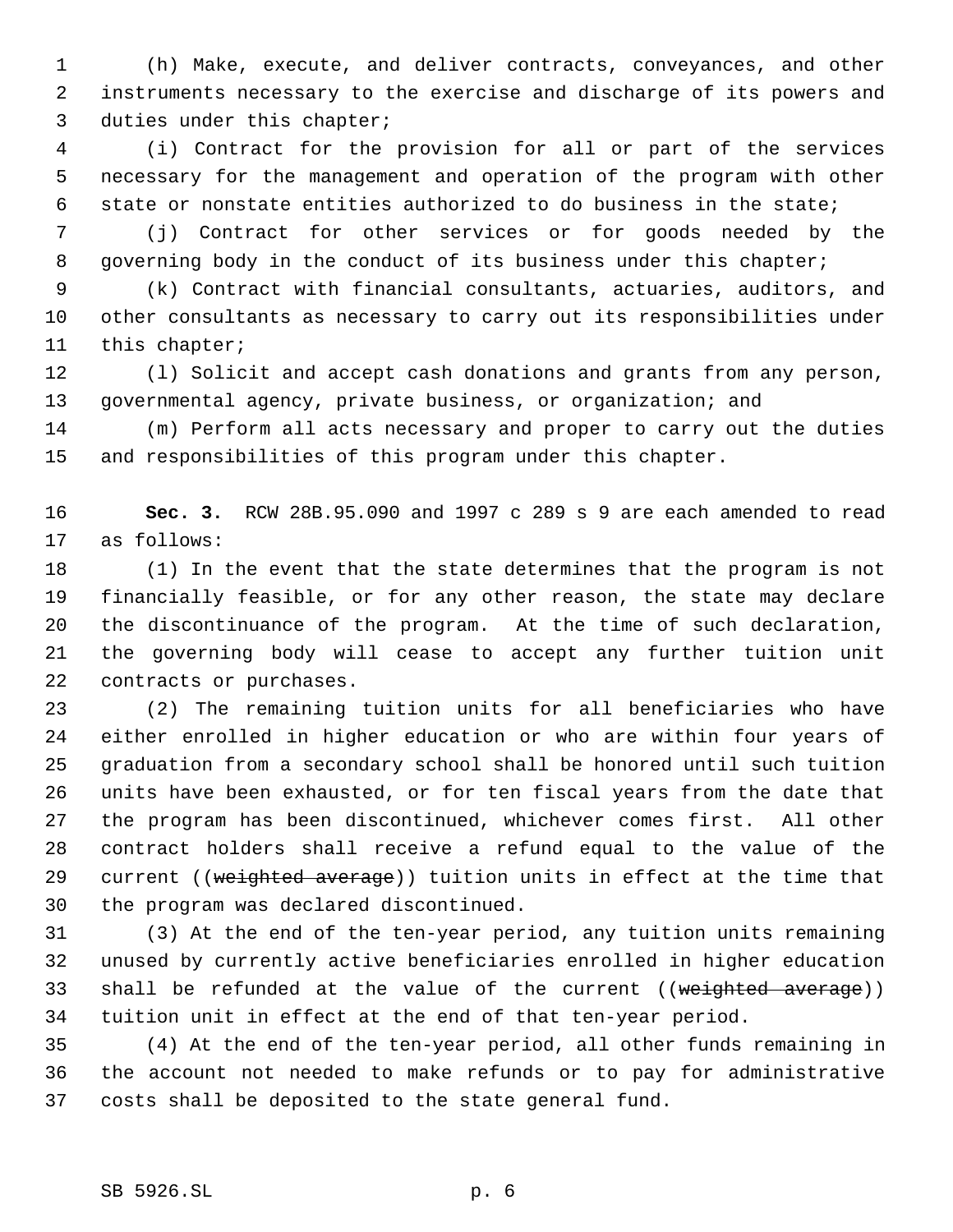(h) Make, execute, and deliver contracts, conveyances, and other instruments necessary to the exercise and discharge of its powers and duties under this chapter;

 (i) Contract for the provision for all or part of the services necessary for the management and operation of the program with other state or nonstate entities authorized to do business in the state;

 (j) Contract for other services or for goods needed by the 8 governing body in the conduct of its business under this chapter;

 (k) Contract with financial consultants, actuaries, auditors, and other consultants as necessary to carry out its responsibilities under this chapter;

 (l) Solicit and accept cash donations and grants from any person, governmental agency, private business, or organization; and

 (m) Perform all acts necessary and proper to carry out the duties and responsibilities of this program under this chapter.

 **Sec. 3.** RCW 28B.95.090 and 1997 c 289 s 9 are each amended to read as follows:

 (1) In the event that the state determines that the program is not financially feasible, or for any other reason, the state may declare the discontinuance of the program. At the time of such declaration, the governing body will cease to accept any further tuition unit contracts or purchases.

 (2) The remaining tuition units for all beneficiaries who have either enrolled in higher education or who are within four years of graduation from a secondary school shall be honored until such tuition units have been exhausted, or for ten fiscal years from the date that the program has been discontinued, whichever comes first. All other contract holders shall receive a refund equal to the value of the 29 current ((weighted average)) tuition units in effect at the time that the program was declared discontinued.

 (3) At the end of the ten-year period, any tuition units remaining unused by currently active beneficiaries enrolled in higher education 33 shall be refunded at the value of the current ((weighted average)) tuition unit in effect at the end of that ten-year period.

 (4) At the end of the ten-year period, all other funds remaining in the account not needed to make refunds or to pay for administrative costs shall be deposited to the state general fund.

## SB 5926.SL p. 6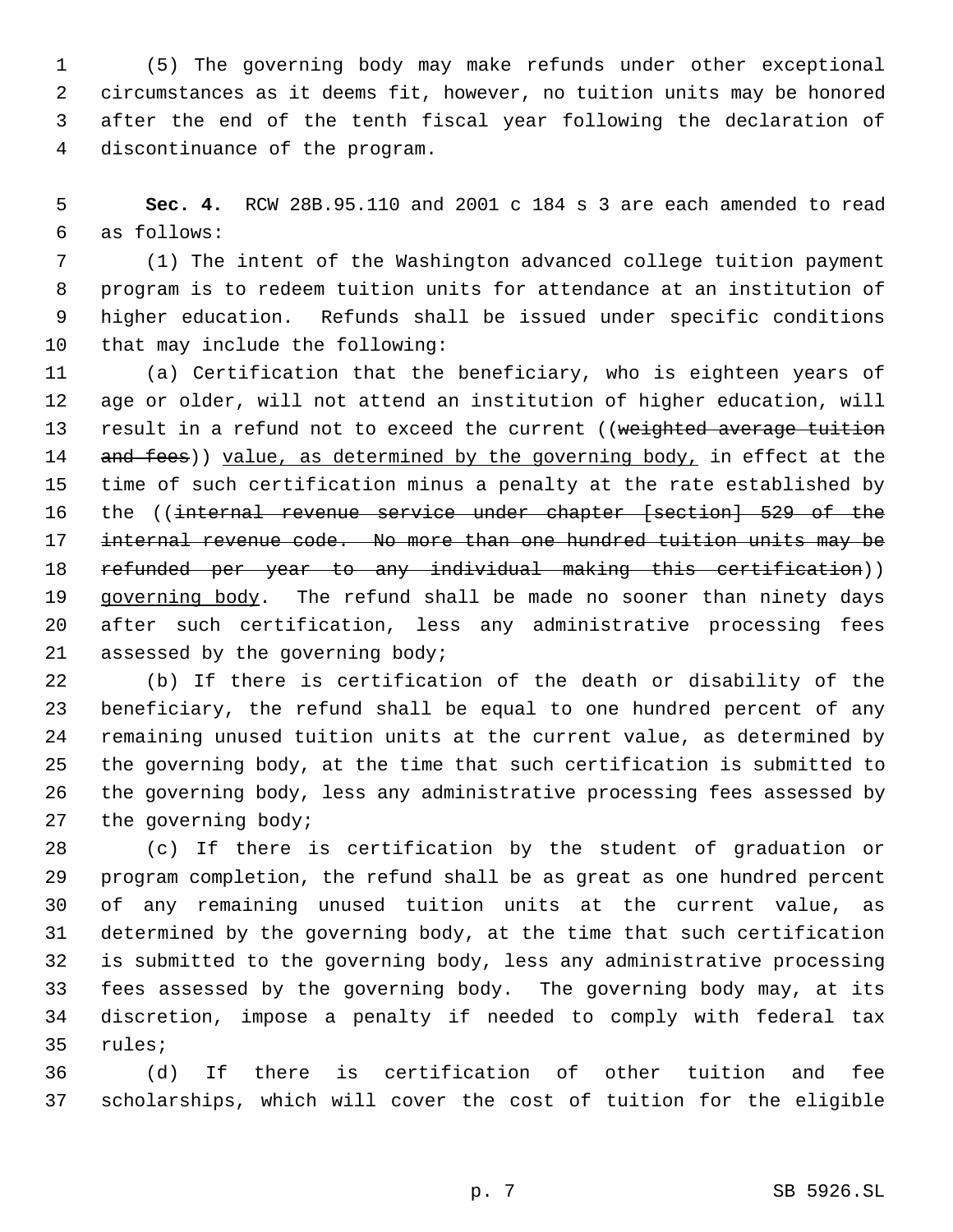(5) The governing body may make refunds under other exceptional circumstances as it deems fit, however, no tuition units may be honored after the end of the tenth fiscal year following the declaration of discontinuance of the program.

 **Sec. 4.** RCW 28B.95.110 and 2001 c 184 s 3 are each amended to read as follows:

 (1) The intent of the Washington advanced college tuition payment program is to redeem tuition units for attendance at an institution of higher education. Refunds shall be issued under specific conditions that may include the following:

 (a) Certification that the beneficiary, who is eighteen years of age or older, will not attend an institution of higher education, will 13 result in a refund not to exceed the current ((weighted average tuition 14 and fees)) value, as determined by the governing body, in effect at the time of such certification minus a penalty at the rate established by the ((internal revenue service under chapter [section] 529 of the internal revenue code. No more than one hundred tuition units may be refunded per year to any individual making this certification)) 19 governing body. The refund shall be made no sooner than ninety days after such certification, less any administrative processing fees assessed by the governing body;

 (b) If there is certification of the death or disability of the beneficiary, the refund shall be equal to one hundred percent of any remaining unused tuition units at the current value, as determined by the governing body, at the time that such certification is submitted to the governing body, less any administrative processing fees assessed by the governing body;

 (c) If there is certification by the student of graduation or program completion, the refund shall be as great as one hundred percent of any remaining unused tuition units at the current value, as determined by the governing body, at the time that such certification is submitted to the governing body, less any administrative processing fees assessed by the governing body. The governing body may, at its discretion, impose a penalty if needed to comply with federal tax rules;

 (d) If there is certification of other tuition and fee scholarships, which will cover the cost of tuition for the eligible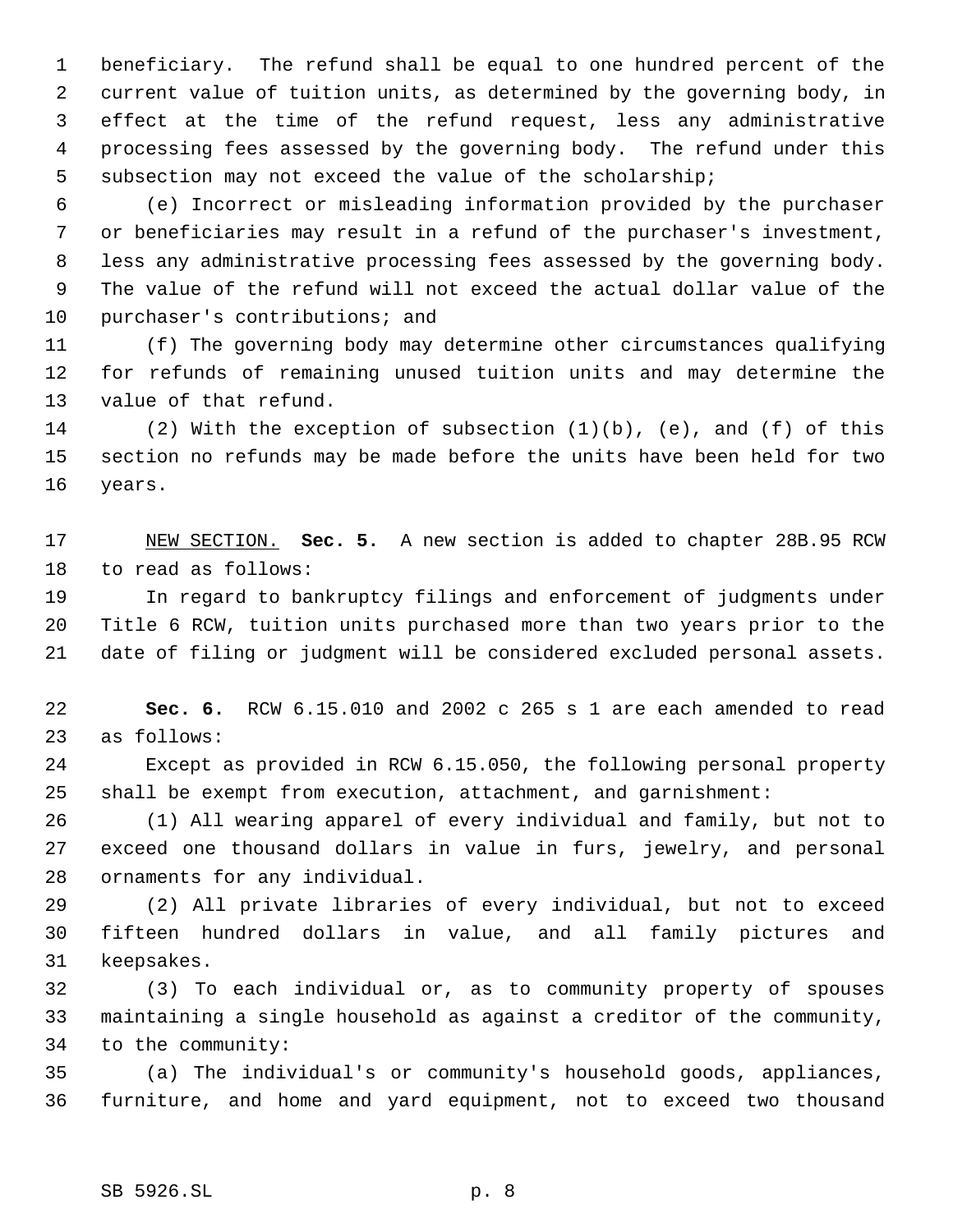beneficiary. The refund shall be equal to one hundred percent of the current value of tuition units, as determined by the governing body, in effect at the time of the refund request, less any administrative processing fees assessed by the governing body. The refund under this subsection may not exceed the value of the scholarship;

 (e) Incorrect or misleading information provided by the purchaser or beneficiaries may result in a refund of the purchaser's investment, less any administrative processing fees assessed by the governing body. The value of the refund will not exceed the actual dollar value of the purchaser's contributions; and

 (f) The governing body may determine other circumstances qualifying for refunds of remaining unused tuition units and may determine the value of that refund.

 (2) With the exception of subsection (1)(b), (e), and (f) of this section no refunds may be made before the units have been held for two years.

 NEW SECTION. **Sec. 5.** A new section is added to chapter 28B.95 RCW to read as follows:

 In regard to bankruptcy filings and enforcement of judgments under Title 6 RCW, tuition units purchased more than two years prior to the date of filing or judgment will be considered excluded personal assets.

 **Sec. 6.** RCW 6.15.010 and 2002 c 265 s 1 are each amended to read as follows:

 Except as provided in RCW 6.15.050, the following personal property shall be exempt from execution, attachment, and garnishment:

 (1) All wearing apparel of every individual and family, but not to exceed one thousand dollars in value in furs, jewelry, and personal ornaments for any individual.

 (2) All private libraries of every individual, but not to exceed fifteen hundred dollars in value, and all family pictures and keepsakes.

 (3) To each individual or, as to community property of spouses maintaining a single household as against a creditor of the community, to the community:

 (a) The individual's or community's household goods, appliances, furniture, and home and yard equipment, not to exceed two thousand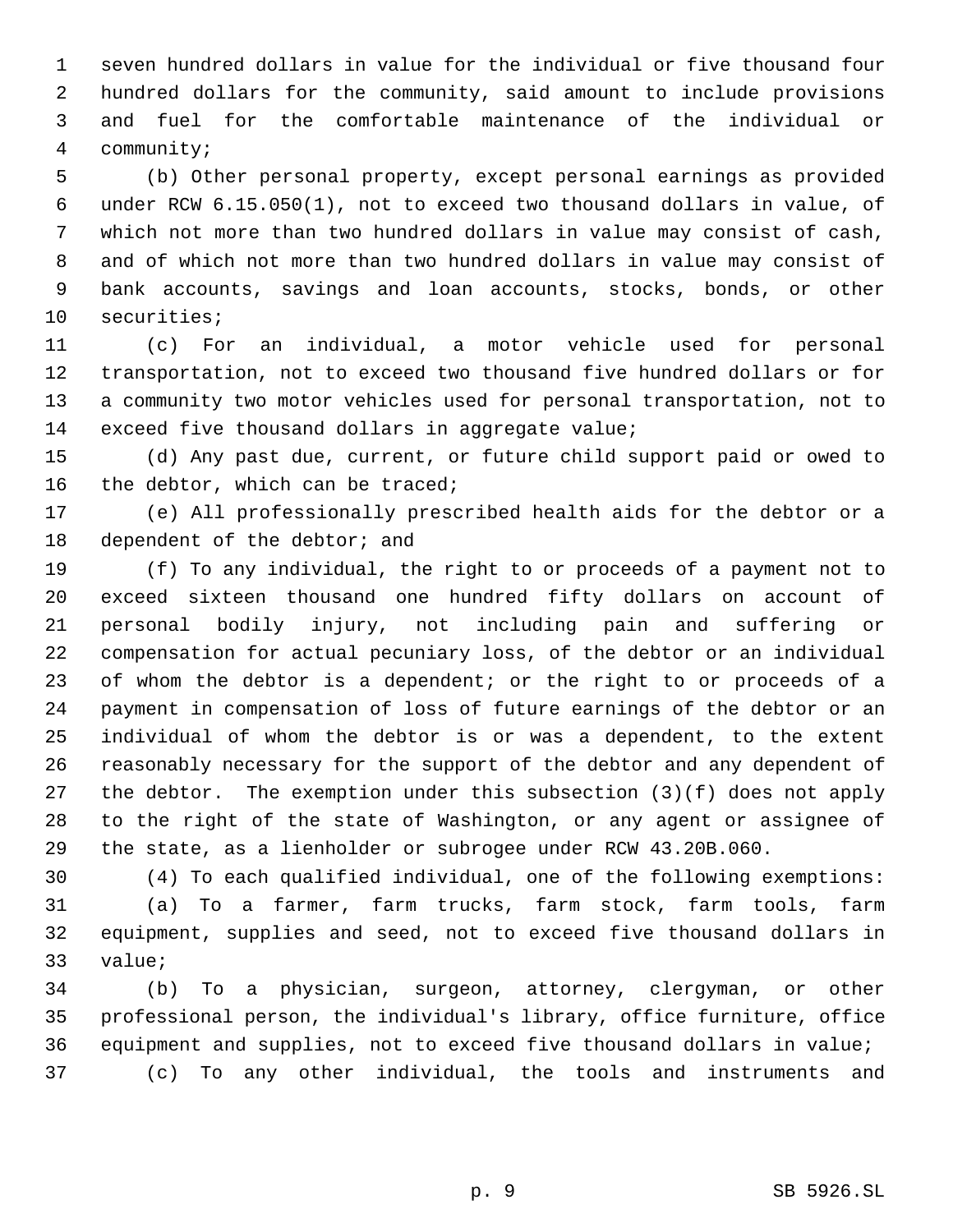seven hundred dollars in value for the individual or five thousand four hundred dollars for the community, said amount to include provisions and fuel for the comfortable maintenance of the individual or community;

 (b) Other personal property, except personal earnings as provided under RCW 6.15.050(1), not to exceed two thousand dollars in value, of which not more than two hundred dollars in value may consist of cash, and of which not more than two hundred dollars in value may consist of bank accounts, savings and loan accounts, stocks, bonds, or other securities;

 (c) For an individual, a motor vehicle used for personal transportation, not to exceed two thousand five hundred dollars or for a community two motor vehicles used for personal transportation, not to exceed five thousand dollars in aggregate value;

 (d) Any past due, current, or future child support paid or owed to 16 the debtor, which can be traced;

 (e) All professionally prescribed health aids for the debtor or a 18 dependent of the debtor; and

 (f) To any individual, the right to or proceeds of a payment not to exceed sixteen thousand one hundred fifty dollars on account of personal bodily injury, not including pain and suffering or compensation for actual pecuniary loss, of the debtor or an individual of whom the debtor is a dependent; or the right to or proceeds of a payment in compensation of loss of future earnings of the debtor or an individual of whom the debtor is or was a dependent, to the extent reasonably necessary for the support of the debtor and any dependent of the debtor. The exemption under this subsection (3)(f) does not apply to the right of the state of Washington, or any agent or assignee of the state, as a lienholder or subrogee under RCW 43.20B.060.

 (4) To each qualified individual, one of the following exemptions: (a) To a farmer, farm trucks, farm stock, farm tools, farm equipment, supplies and seed, not to exceed five thousand dollars in value;

 (b) To a physician, surgeon, attorney, clergyman, or other professional person, the individual's library, office furniture, office equipment and supplies, not to exceed five thousand dollars in value; (c) To any other individual, the tools and instruments and